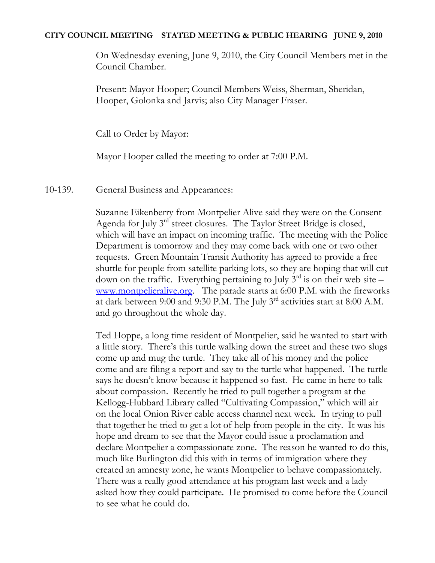## **CITY COUNCIL MEETING STATED MEETING & PUBLIC HEARING JUNE 9, 2010**

On Wednesday evening, June 9, 2010, the City Council Members met in the Council Chamber.

Present: Mayor Hooper; Council Members Weiss, Sherman, Sheridan, Hooper, Golonka and Jarvis; also City Manager Fraser.

Call to Order by Mayor:

Mayor Hooper called the meeting to order at 7:00 P.M.

10-139. General Business and Appearances:

Suzanne Eikenberry from Montpelier Alive said they were on the Consent Agenda for July 3<sup>rd</sup> street closures. The Taylor Street Bridge is closed, which will have an impact on incoming traffic. The meeting with the Police Department is tomorrow and they may come back with one or two other requests. Green Mountain Transit Authority has agreed to provide a free shuttle for people from satellite parking lots, so they are hoping that will cut down on the traffic. Everything pertaining to July  $3<sup>rd</sup>$  is on their web site – [www.montpelieralive.org.](http://www.montpelieralive.org/) The parade starts at 6:00 P.M. with the fireworks at dark between 9:00 and 9:30 P.M. The July 3rd activities start at 8:00 A.M. and go throughout the whole day.

Ted Hoppe, a long time resident of Montpelier, said he wanted to start with a little story. There's this turtle walking down the street and these two slugs come up and mug the turtle. They take all of his money and the police come and are filing a report and say to the turtle what happened. The turtle says he doesn't know because it happened so fast. He came in here to talk about compassion. Recently he tried to pull together a program at the Kellogg-Hubbard Library called "Cultivating Compassion," which will air on the local Onion River cable access channel next week. In trying to pull that together he tried to get a lot of help from people in the city. It was his hope and dream to see that the Mayor could issue a proclamation and declare Montpelier a compassionate zone. The reason he wanted to do this, much like Burlington did this with in terms of immigration where they created an amnesty zone, he wants Montpelier to behave compassionately. There was a really good attendance at his program last week and a lady asked how they could participate. He promised to come before the Council to see what he could do.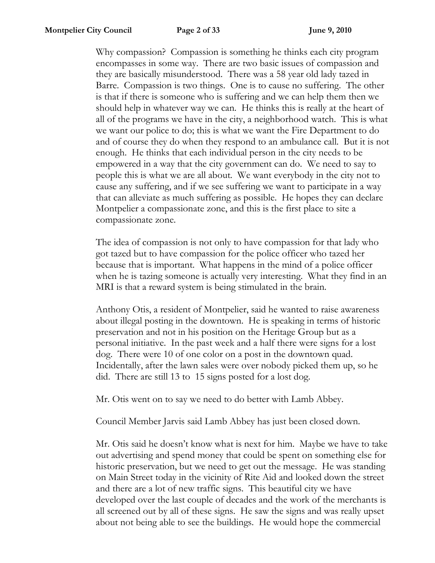Why compassion? Compassion is something he thinks each city program encompasses in some way. There are two basic issues of compassion and they are basically misunderstood. There was a 58 year old lady tazed in Barre. Compassion is two things. One is to cause no suffering. The other is that if there is someone who is suffering and we can help them then we should help in whatever way we can. He thinks this is really at the heart of all of the programs we have in the city, a neighborhood watch. This is what we want our police to do; this is what we want the Fire Department to do and of course they do when they respond to an ambulance call. But it is not enough. He thinks that each individual person in the city needs to be empowered in a way that the city government can do. We need to say to people this is what we are all about. We want everybody in the city not to cause any suffering, and if we see suffering we want to participate in a way that can alleviate as much suffering as possible. He hopes they can declare Montpelier a compassionate zone, and this is the first place to site a compassionate zone.

The idea of compassion is not only to have compassion for that lady who got tazed but to have compassion for the police officer who tazed her because that is important. What happens in the mind of a police officer when he is tazing someone is actually very interesting. What they find in an MRI is that a reward system is being stimulated in the brain.

Anthony Otis, a resident of Montpelier, said he wanted to raise awareness about illegal posting in the downtown. He is speaking in terms of historic preservation and not in his position on the Heritage Group but as a personal initiative. In the past week and a half there were signs for a lost dog. There were 10 of one color on a post in the downtown quad. Incidentally, after the lawn sales were over nobody picked them up, so he did. There are still 13 to 15 signs posted for a lost dog.

Mr. Otis went on to say we need to do better with Lamb Abbey.

Council Member Jarvis said Lamb Abbey has just been closed down.

Mr. Otis said he doesn't know what is next for him. Maybe we have to take out advertising and spend money that could be spent on something else for historic preservation, but we need to get out the message. He was standing on Main Street today in the vicinity of Rite Aid and looked down the street and there are a lot of new traffic signs. This beautiful city we have developed over the last couple of decades and the work of the merchants is all screened out by all of these signs. He saw the signs and was really upset about not being able to see the buildings. He would hope the commercial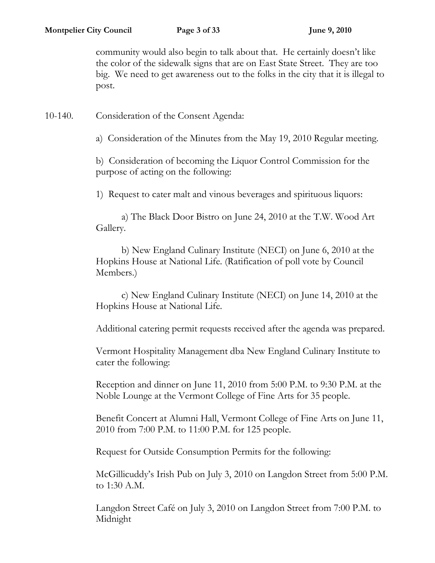community would also begin to talk about that. He certainly doesn't like the color of the sidewalk signs that are on East State Street. They are too big. We need to get awareness out to the folks in the city that it is illegal to post.

10-140. Consideration of the Consent Agenda:

a) Consideration of the Minutes from the May 19, 2010 Regular meeting.

b) Consideration of becoming the Liquor Control Commission for the purpose of acting on the following:

1) Request to cater malt and vinous beverages and spirituous liquors:

a) The Black Door Bistro on June 24, 2010 at the T.W. Wood Art Gallery.

b) New England Culinary Institute (NECI) on June 6, 2010 at the Hopkins House at National Life. (Ratification of poll vote by Council Members.)

c) New England Culinary Institute (NECI) on June 14, 2010 at the Hopkins House at National Life.

Additional catering permit requests received after the agenda was prepared.

Vermont Hospitality Management dba New England Culinary Institute to cater the following:

Reception and dinner on June 11, 2010 from 5:00 P.M. to 9:30 P.M. at the Noble Lounge at the Vermont College of Fine Arts for 35 people.

Benefit Concert at Alumni Hall, Vermont College of Fine Arts on June 11, 2010 from 7:00 P.M. to 11:00 P.M. for 125 people.

Request for Outside Consumption Permits for the following:

McGillicuddy's Irish Pub on July 3, 2010 on Langdon Street from 5:00 P.M. to 1:30 A.M.

Langdon Street Café on July 3, 2010 on Langdon Street from 7:00 P.M. to Midnight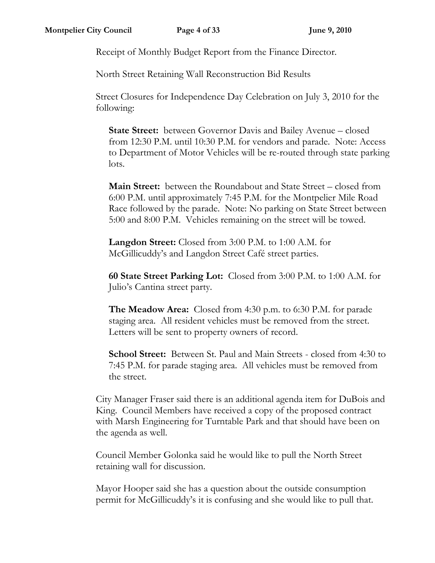Receipt of Monthly Budget Report from the Finance Director.

North Street Retaining Wall Reconstruction Bid Results

Street Closures for Independence Day Celebration on July 3, 2010 for the following:

**State Street:** between Governor Davis and Bailey Avenue – closed from 12:30 P.M. until 10:30 P.M. for vendors and parade. Note: Access to Department of Motor Vehicles will be re-routed through state parking lots.

**Main Street:** between the Roundabout and State Street – closed from 6:00 P.M. until approximately 7:45 P.M. for the Montpelier Mile Road Race followed by the parade. Note: No parking on State Street between 5:00 and 8:00 P.M. Vehicles remaining on the street will be towed.

**Langdon Street:** Closed from 3:00 P.M. to 1:00 A.M. for McGillicuddy's and Langdon Street Café street parties.

**60 State Street Parking Lot:** Closed from 3:00 P.M. to 1:00 A.M. for Julio's Cantina street party.

**The Meadow Area:** Closed from 4:30 p.m. to 6:30 P.M. for parade staging area. All resident vehicles must be removed from the street. Letters will be sent to property owners of record.

**School Street:** Between St. Paul and Main Streets - closed from 4:30 to 7:45 P.M. for parade staging area. All vehicles must be removed from the street.

City Manager Fraser said there is an additional agenda item for DuBois and King. Council Members have received a copy of the proposed contract with Marsh Engineering for Turntable Park and that should have been on the agenda as well.

Council Member Golonka said he would like to pull the North Street retaining wall for discussion.

Mayor Hooper said she has a question about the outside consumption permit for McGillicuddy's it is confusing and she would like to pull that.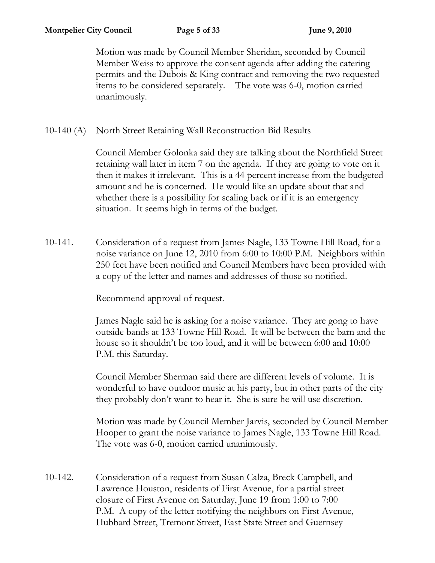Motion was made by Council Member Sheridan, seconded by Council Member Weiss to approve the consent agenda after adding the catering permits and the Dubois & King contract and removing the two requested items to be considered separately. The vote was 6-0, motion carried unanimously.

10-140 (A) North Street Retaining Wall Reconstruction Bid Results

Council Member Golonka said they are talking about the Northfield Street retaining wall later in item 7 on the agenda. If they are going to vote on it then it makes it irrelevant. This is a 44 percent increase from the budgeted amount and he is concerned. He would like an update about that and whether there is a possibility for scaling back or if it is an emergency situation. It seems high in terms of the budget.

10-141. Consideration of a request from James Nagle, 133 Towne Hill Road, for a noise variance on June 12, 2010 from 6:00 to 10:00 P.M. Neighbors within 250 feet have been notified and Council Members have been provided with a copy of the letter and names and addresses of those so notified.

Recommend approval of request.

James Nagle said he is asking for a noise variance. They are gong to have outside bands at 133 Towne Hill Road. It will be between the barn and the house so it shouldn't be too loud, and it will be between 6:00 and 10:00 P.M. this Saturday.

Council Member Sherman said there are different levels of volume. It is wonderful to have outdoor music at his party, but in other parts of the city they probably don't want to hear it. She is sure he will use discretion.

Motion was made by Council Member Jarvis, seconded by Council Member Hooper to grant the noise variance to James Nagle, 133 Towne Hill Road. The vote was 6-0, motion carried unanimously.

10-142. Consideration of a request from Susan Calza, Breck Campbell, and Lawrence Houston, residents of First Avenue, for a partial street closure of First Avenue on Saturday, June 19 from 1:00 to 7:00 P.M. A copy of the letter notifying the neighbors on First Avenue, Hubbard Street, Tremont Street, East State Street and Guernsey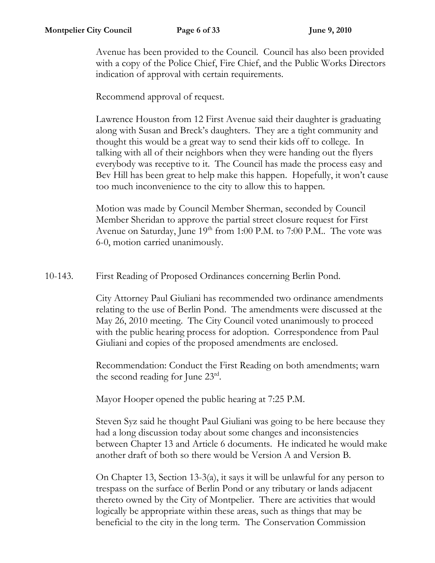Avenue has been provided to the Council. Council has also been provided with a copy of the Police Chief, Fire Chief, and the Public Works Directors indication of approval with certain requirements.

Recommend approval of request.

Lawrence Houston from 12 First Avenue said their daughter is graduating along with Susan and Breck's daughters. They are a tight community and thought this would be a great way to send their kids off to college. In talking with all of their neighbors when they were handing out the flyers everybody was receptive to it. The Council has made the process easy and Bev Hill has been great to help make this happen. Hopefully, it won't cause too much inconvenience to the city to allow this to happen.

Motion was made by Council Member Sherman, seconded by Council Member Sheridan to approve the partial street closure request for First Avenue on Saturday, June  $19<sup>th</sup>$  from 1:00 P.M. to 7:00 P.M.. The vote was 6-0, motion carried unanimously.

10-143. First Reading of Proposed Ordinances concerning Berlin Pond.

City Attorney Paul Giuliani has recommended two ordinance amendments relating to the use of Berlin Pond. The amendments were discussed at the May 26, 2010 meeting. The City Council voted unanimously to proceed with the public hearing process for adoption. Correspondence from Paul Giuliani and copies of the proposed amendments are enclosed.

Recommendation: Conduct the First Reading on both amendments; warn the second reading for June 23rd .

Mayor Hooper opened the public hearing at 7:25 P.M.

Steven Syz said he thought Paul Giuliani was going to be here because they had a long discussion today about some changes and inconsistencies between Chapter 13 and Article 6 documents. He indicated he would make another draft of both so there would be Version A and Version B.

On Chapter 13, Section 13-3(a), it says it will be unlawful for any person to trespass on the surface of Berlin Pond or any tributary or lands adjacent thereto owned by the City of Montpelier. There are activities that would logically be appropriate within these areas, such as things that may be beneficial to the city in the long term. The Conservation Commission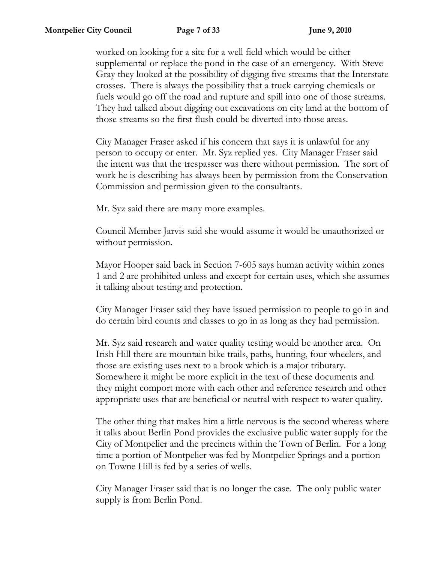worked on looking for a site for a well field which would be either supplemental or replace the pond in the case of an emergency. With Steve Gray they looked at the possibility of digging five streams that the Interstate crosses. There is always the possibility that a truck carrying chemicals or fuels would go off the road and rupture and spill into one of those streams. They had talked about digging out excavations on city land at the bottom of those streams so the first flush could be diverted into those areas.

City Manager Fraser asked if his concern that says it is unlawful for any person to occupy or enter. Mr. Syz replied yes. City Manager Fraser said the intent was that the trespasser was there without permission. The sort of work he is describing has always been by permission from the Conservation Commission and permission given to the consultants.

Mr. Syz said there are many more examples.

Council Member Jarvis said she would assume it would be unauthorized or without permission.

Mayor Hooper said back in Section 7-605 says human activity within zones 1 and 2 are prohibited unless and except for certain uses, which she assumes it talking about testing and protection.

City Manager Fraser said they have issued permission to people to go in and do certain bird counts and classes to go in as long as they had permission.

Mr. Syz said research and water quality testing would be another area. On Irish Hill there are mountain bike trails, paths, hunting, four wheelers, and those are existing uses next to a brook which is a major tributary. Somewhere it might be more explicit in the text of these documents and they might comport more with each other and reference research and other appropriate uses that are beneficial or neutral with respect to water quality.

The other thing that makes him a little nervous is the second whereas where it talks about Berlin Pond provides the exclusive public water supply for the City of Montpelier and the precincts within the Town of Berlin. For a long time a portion of Montpelier was fed by Montpelier Springs and a portion on Towne Hill is fed by a series of wells.

City Manager Fraser said that is no longer the case. The only public water supply is from Berlin Pond.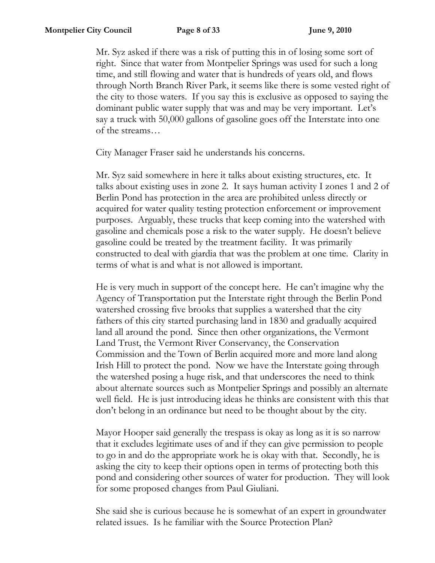Mr. Syz asked if there was a risk of putting this in of losing some sort of right. Since that water from Montpelier Springs was used for such a long time, and still flowing and water that is hundreds of years old, and flows through North Branch River Park, it seems like there is some vested right of the city to those waters. If you say this is exclusive as opposed to saying the dominant public water supply that was and may be very important. Let's say a truck with 50,000 gallons of gasoline goes off the Interstate into one of the streams…

City Manager Fraser said he understands his concerns.

Mr. Syz said somewhere in here it talks about existing structures, etc. It talks about existing uses in zone 2. It says human activity I zones 1 and 2 of Berlin Pond has protection in the area are prohibited unless directly or acquired for water quality testing protection enforcement or improvement purposes. Arguably, these trucks that keep coming into the watershed with gasoline and chemicals pose a risk to the water supply. He doesn't believe gasoline could be treated by the treatment facility. It was primarily constructed to deal with giardia that was the problem at one time. Clarity in terms of what is and what is not allowed is important.

He is very much in support of the concept here. He can't imagine why the Agency of Transportation put the Interstate right through the Berlin Pond watershed crossing five brooks that supplies a watershed that the city fathers of this city started purchasing land in 1830 and gradually acquired land all around the pond. Since then other organizations, the Vermont Land Trust, the Vermont River Conservancy, the Conservation Commission and the Town of Berlin acquired more and more land along Irish Hill to protect the pond. Now we have the Interstate going through the watershed posing a huge risk, and that underscores the need to think about alternate sources such as Montpelier Springs and possibly an alternate well field. He is just introducing ideas he thinks are consistent with this that don't belong in an ordinance but need to be thought about by the city.

Mayor Hooper said generally the trespass is okay as long as it is so narrow that it excludes legitimate uses of and if they can give permission to people to go in and do the appropriate work he is okay with that. Secondly, he is asking the city to keep their options open in terms of protecting both this pond and considering other sources of water for production. They will look for some proposed changes from Paul Giuliani.

She said she is curious because he is somewhat of an expert in groundwater related issues. Is he familiar with the Source Protection Plan?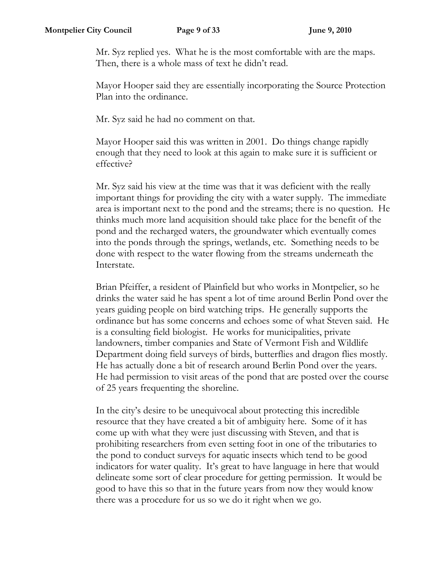Mr. Syz replied yes. What he is the most comfortable with are the maps. Then, there is a whole mass of text he didn't read.

Mayor Hooper said they are essentially incorporating the Source Protection Plan into the ordinance.

Mr. Syz said he had no comment on that.

Mayor Hooper said this was written in 2001. Do things change rapidly enough that they need to look at this again to make sure it is sufficient or effective?

Mr. Syz said his view at the time was that it was deficient with the really important things for providing the city with a water supply. The immediate area is important next to the pond and the streams; there is no question. He thinks much more land acquisition should take place for the benefit of the pond and the recharged waters, the groundwater which eventually comes into the ponds through the springs, wetlands, etc. Something needs to be done with respect to the water flowing from the streams underneath the Interstate.

Brian Pfeiffer, a resident of Plainfield but who works in Montpelier, so he drinks the water said he has spent a lot of time around Berlin Pond over the years guiding people on bird watching trips. He generally supports the ordinance but has some concerns and echoes some of what Steven said. He is a consulting field biologist. He works for municipalities, private landowners, timber companies and State of Vermont Fish and Wildlife Department doing field surveys of birds, butterflies and dragon flies mostly. He has actually done a bit of research around Berlin Pond over the years. He had permission to visit areas of the pond that are posted over the course of 25 years frequenting the shoreline.

In the city's desire to be unequivocal about protecting this incredible resource that they have created a bit of ambiguity here. Some of it has come up with what they were just discussing with Steven, and that is prohibiting researchers from even setting foot in one of the tributaries to the pond to conduct surveys for aquatic insects which tend to be good indicators for water quality. It's great to have language in here that would delineate some sort of clear procedure for getting permission. It would be good to have this so that in the future years from now they would know there was a procedure for us so we do it right when we go.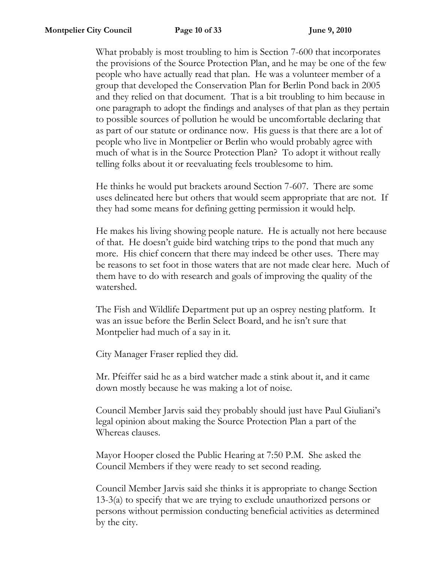What probably is most troubling to him is Section 7-600 that incorporates the provisions of the Source Protection Plan, and he may be one of the few people who have actually read that plan. He was a volunteer member of a group that developed the Conservation Plan for Berlin Pond back in 2005 and they relied on that document. That is a bit troubling to him because in one paragraph to adopt the findings and analyses of that plan as they pertain to possible sources of pollution he would be uncomfortable declaring that as part of our statute or ordinance now. His guess is that there are a lot of people who live in Montpelier or Berlin who would probably agree with much of what is in the Source Protection Plan? To adopt it without really telling folks about it or reevaluating feels troublesome to him.

He thinks he would put brackets around Section 7-607. There are some uses delineated here but others that would seem appropriate that are not. If they had some means for defining getting permission it would help.

He makes his living showing people nature. He is actually not here because of that. He doesn't guide bird watching trips to the pond that much any more. His chief concern that there may indeed be other uses. There may be reasons to set foot in those waters that are not made clear here. Much of them have to do with research and goals of improving the quality of the watershed.

The Fish and Wildlife Department put up an osprey nesting platform. It was an issue before the Berlin Select Board, and he isn't sure that Montpelier had much of a say in it.

City Manager Fraser replied they did.

Mr. Pfeiffer said he as a bird watcher made a stink about it, and it came down mostly because he was making a lot of noise.

Council Member Jarvis said they probably should just have Paul Giuliani's legal opinion about making the Source Protection Plan a part of the Whereas clauses.

Mayor Hooper closed the Public Hearing at 7:50 P.M. She asked the Council Members if they were ready to set second reading.

Council Member Jarvis said she thinks it is appropriate to change Section 13-3(a) to specify that we are trying to exclude unauthorized persons or persons without permission conducting beneficial activities as determined by the city.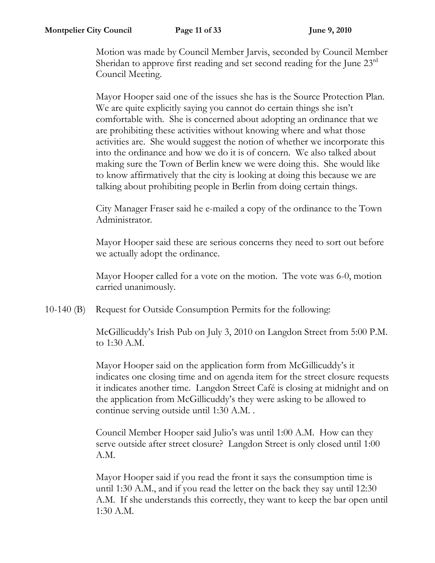Motion was made by Council Member Jarvis, seconded by Council Member Sheridan to approve first reading and set second reading for the June 23<sup>rd</sup> Council Meeting.

Mayor Hooper said one of the issues she has is the Source Protection Plan. We are quite explicitly saying you cannot do certain things she isn't comfortable with. She is concerned about adopting an ordinance that we are prohibiting these activities without knowing where and what those activities are. She would suggest the notion of whether we incorporate this into the ordinance and how we do it is of concern. We also talked about making sure the Town of Berlin knew we were doing this. She would like to know affirmatively that the city is looking at doing this because we are talking about prohibiting people in Berlin from doing certain things.

City Manager Fraser said he e-mailed a copy of the ordinance to the Town Administrator.

Mayor Hooper said these are serious concerns they need to sort out before we actually adopt the ordinance.

Mayor Hooper called for a vote on the motion. The vote was 6-0, motion carried unanimously.

10-140 (B) Request for Outside Consumption Permits for the following:

McGillicuddy's Irish Pub on July 3, 2010 on Langdon Street from 5:00 P.M. to 1:30 A.M.

Mayor Hooper said on the application form from McGillicuddy's it indicates one closing time and on agenda item for the street closure requests it indicates another time. Langdon Street Café is closing at midnight and on the application from McGillicuddy's they were asking to be allowed to continue serving outside until 1:30 A.M. .

Council Member Hooper said Julio's was until 1:00 A.M. How can they serve outside after street closure? Langdon Street is only closed until 1:00 A.M.

Mayor Hooper said if you read the front it says the consumption time is until 1:30 A.M., and if you read the letter on the back they say until 12:30 A.M. If she understands this correctly, they want to keep the bar open until 1:30 A.M.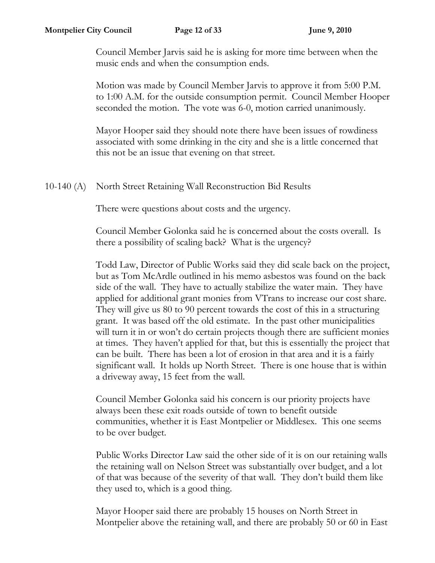Council Member Jarvis said he is asking for more time between when the music ends and when the consumption ends.

Motion was made by Council Member Jarvis to approve it from 5:00 P.M. to 1:00 A.M. for the outside consumption permit. Council Member Hooper seconded the motion. The vote was 6-0, motion carried unanimously.

Mayor Hooper said they should note there have been issues of rowdiness associated with some drinking in the city and she is a little concerned that this not be an issue that evening on that street.

## 10-140 (A) North Street Retaining Wall Reconstruction Bid Results

There were questions about costs and the urgency.

Council Member Golonka said he is concerned about the costs overall. Is there a possibility of scaling back? What is the urgency?

Todd Law, Director of Public Works said they did scale back on the project, but as Tom McArdle outlined in his memo asbestos was found on the back side of the wall. They have to actually stabilize the water main. They have applied for additional grant monies from VTrans to increase our cost share. They will give us 80 to 90 percent towards the cost of this in a structuring grant. It was based off the old estimate. In the past other municipalities will turn it in or won't do certain projects though there are sufficient monies at times. They haven't applied for that, but this is essentially the project that can be built. There has been a lot of erosion in that area and it is a fairly significant wall. It holds up North Street. There is one house that is within a driveway away, 15 feet from the wall.

Council Member Golonka said his concern is our priority projects have always been these exit roads outside of town to benefit outside communities, whether it is East Montpelier or Middlesex. This one seems to be over budget.

Public Works Director Law said the other side of it is on our retaining walls the retaining wall on Nelson Street was substantially over budget, and a lot of that was because of the severity of that wall. They don't build them like they used to, which is a good thing.

Mayor Hooper said there are probably 15 houses on North Street in Montpelier above the retaining wall, and there are probably 50 or 60 in East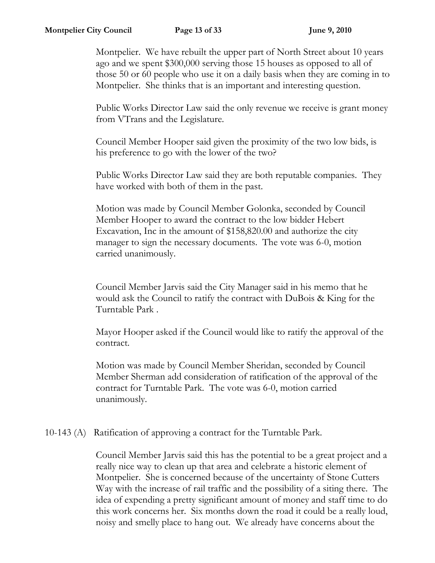Montpelier. We have rebuilt the upper part of North Street about 10 years ago and we spent \$300,000 serving those 15 houses as opposed to all of those 50 or 60 people who use it on a daily basis when they are coming in to Montpelier. She thinks that is an important and interesting question.

Public Works Director Law said the only revenue we receive is grant money from VTrans and the Legislature.

Council Member Hooper said given the proximity of the two low bids, is his preference to go with the lower of the two?

Public Works Director Law said they are both reputable companies. They have worked with both of them in the past.

Motion was made by Council Member Golonka, seconded by Council Member Hooper to award the contract to the low bidder Hebert Excavation, Inc in the amount of \$158,820.00 and authorize the city manager to sign the necessary documents. The vote was 6-0, motion carried unanimously.

Council Member Jarvis said the City Manager said in his memo that he would ask the Council to ratify the contract with DuBois & King for the Turntable Park .

Mayor Hooper asked if the Council would like to ratify the approval of the contract.

Motion was made by Council Member Sheridan, seconded by Council Member Sherman add consideration of ratification of the approval of the contract for Turntable Park. The vote was 6-0, motion carried unanimously.

10-143 (A) Ratification of approving a contract for the Turntable Park.

Council Member Jarvis said this has the potential to be a great project and a really nice way to clean up that area and celebrate a historic element of Montpelier. She is concerned because of the uncertainty of Stone Cutters Way with the increase of rail traffic and the possibility of a siting there. The idea of expending a pretty significant amount of money and staff time to do this work concerns her. Six months down the road it could be a really loud, noisy and smelly place to hang out. We already have concerns about the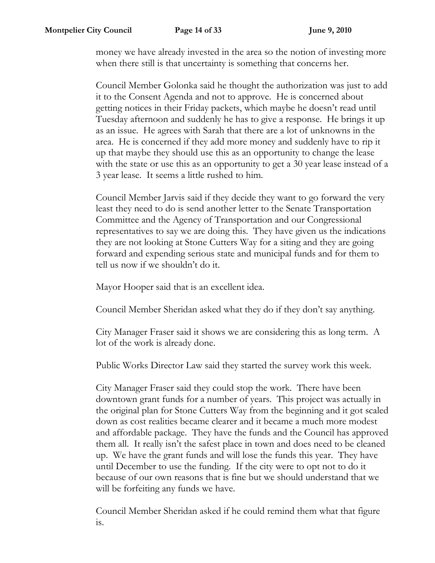money we have already invested in the area so the notion of investing more when there still is that uncertainty is something that concerns her.

Council Member Golonka said he thought the authorization was just to add it to the Consent Agenda and not to approve. He is concerned about getting notices in their Friday packets, which maybe he doesn't read until Tuesday afternoon and suddenly he has to give a response. He brings it up as an issue. He agrees with Sarah that there are a lot of unknowns in the area. He is concerned if they add more money and suddenly have to rip it up that maybe they should use this as an opportunity to change the lease with the state or use this as an opportunity to get a 30 year lease instead of a 3 year lease. It seems a little rushed to him.

Council Member Jarvis said if they decide they want to go forward the very least they need to do is send another letter to the Senate Transportation Committee and the Agency of Transportation and our Congressional representatives to say we are doing this. They have given us the indications they are not looking at Stone Cutters Way for a siting and they are going forward and expending serious state and municipal funds and for them to tell us now if we shouldn't do it.

Mayor Hooper said that is an excellent idea.

Council Member Sheridan asked what they do if they don't say anything.

City Manager Fraser said it shows we are considering this as long term. A lot of the work is already done.

Public Works Director Law said they started the survey work this week.

City Manager Fraser said they could stop the work. There have been downtown grant funds for a number of years. This project was actually in the original plan for Stone Cutters Way from the beginning and it got scaled down as cost realities became clearer and it became a much more modest and affordable package. They have the funds and the Council has approved them all. It really isn't the safest place in town and does need to be cleaned up. We have the grant funds and will lose the funds this year. They have until December to use the funding. If the city were to opt not to do it because of our own reasons that is fine but we should understand that we will be forfeiting any funds we have.

Council Member Sheridan asked if he could remind them what that figure is.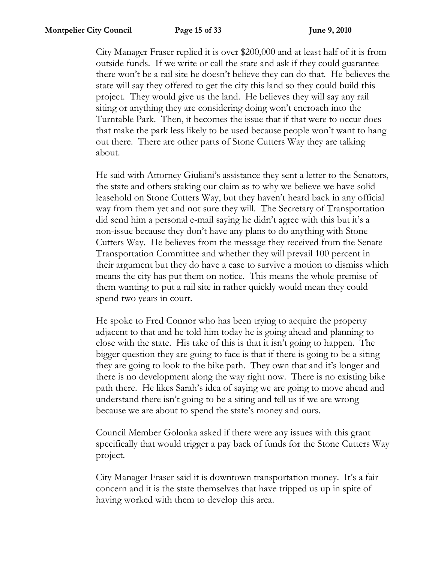City Manager Fraser replied it is over \$200,000 and at least half of it is from outside funds. If we write or call the state and ask if they could guarantee there won't be a rail site he doesn't believe they can do that. He believes the state will say they offered to get the city this land so they could build this project. They would give us the land. He believes they will say any rail siting or anything they are considering doing won't encroach into the Turntable Park. Then, it becomes the issue that if that were to occur does that make the park less likely to be used because people won't want to hang out there. There are other parts of Stone Cutters Way they are talking about.

He said with Attorney Giuliani's assistance they sent a letter to the Senators, the state and others staking our claim as to why we believe we have solid leasehold on Stone Cutters Way, but they haven't heard back in any official way from them yet and not sure they will. The Secretary of Transportation did send him a personal e-mail saying he didn't agree with this but it's a non-issue because they don't have any plans to do anything with Stone Cutters Way. He believes from the message they received from the Senate Transportation Committee and whether they will prevail 100 percent in their argument but they do have a case to survive a motion to dismiss which means the city has put them on notice. This means the whole premise of them wanting to put a rail site in rather quickly would mean they could spend two years in court.

He spoke to Fred Connor who has been trying to acquire the property adjacent to that and he told him today he is going ahead and planning to close with the state. His take of this is that it isn't going to happen. The bigger question they are going to face is that if there is going to be a siting they are going to look to the bike path. They own that and it's longer and there is no development along the way right now. There is no existing bike path there. He likes Sarah's idea of saying we are going to move ahead and understand there isn't going to be a siting and tell us if we are wrong because we are about to spend the state's money and ours.

Council Member Golonka asked if there were any issues with this grant specifically that would trigger a pay back of funds for the Stone Cutters Way project.

City Manager Fraser said it is downtown transportation money. It's a fair concern and it is the state themselves that have tripped us up in spite of having worked with them to develop this area.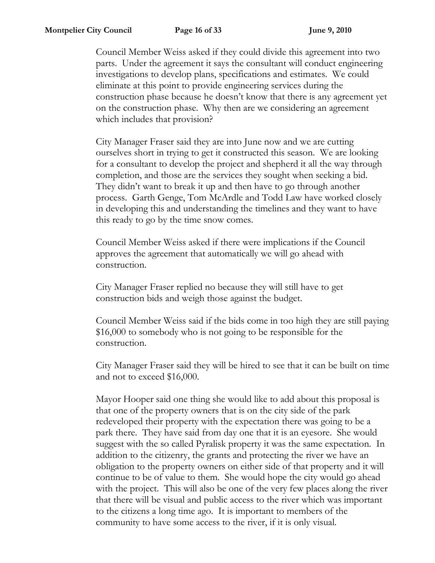Council Member Weiss asked if they could divide this agreement into two parts. Under the agreement it says the consultant will conduct engineering investigations to develop plans, specifications and estimates. We could eliminate at this point to provide engineering services during the construction phase because he doesn't know that there is any agreement yet on the construction phase. Why then are we considering an agreement which includes that provision?

City Manager Fraser said they are into June now and we are cutting ourselves short in trying to get it constructed this season. We are looking for a consultant to develop the project and shepherd it all the way through completion, and those are the services they sought when seeking a bid. They didn't want to break it up and then have to go through another process. Garth Genge, Tom McArdle and Todd Law have worked closely in developing this and understanding the timelines and they want to have this ready to go by the time snow comes.

Council Member Weiss asked if there were implications if the Council approves the agreement that automatically we will go ahead with construction.

City Manager Fraser replied no because they will still have to get construction bids and weigh those against the budget.

Council Member Weiss said if the bids come in too high they are still paying \$16,000 to somebody who is not going to be responsible for the construction.

City Manager Fraser said they will be hired to see that it can be built on time and not to exceed \$16,000.

Mayor Hooper said one thing she would like to add about this proposal is that one of the property owners that is on the city side of the park redeveloped their property with the expectation there was going to be a park there. They have said from day one that it is an eyesore. She would suggest with the so called Pyralisk property it was the same expectation. In addition to the citizenry, the grants and protecting the river we have an obligation to the property owners on either side of that property and it will continue to be of value to them. She would hope the city would go ahead with the project. This will also be one of the very few places along the river that there will be visual and public access to the river which was important to the citizens a long time ago. It is important to members of the community to have some access to the river, if it is only visual.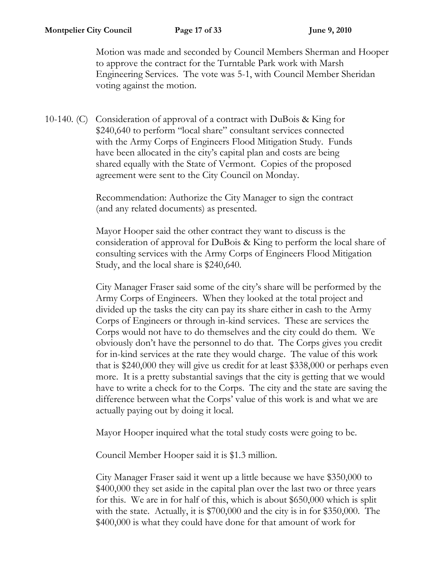Motion was made and seconded by Council Members Sherman and Hooper to approve the contract for the Turntable Park work with Marsh Engineering Services. The vote was 5-1, with Council Member Sheridan voting against the motion.

10-140. (C) Consideration of approval of a contract with DuBois & King for \$240,640 to perform "local share" consultant services connected with the Army Corps of Engineers Flood Mitigation Study. Funds have been allocated in the city's capital plan and costs are being shared equally with the State of Vermont. Copies of the proposed agreement were sent to the City Council on Monday.

> Recommendation: Authorize the City Manager to sign the contract (and any related documents) as presented.

Mayor Hooper said the other contract they want to discuss is the consideration of approval for DuBois & King to perform the local share of consulting services with the Army Corps of Engineers Flood Mitigation Study, and the local share is \$240,640.

City Manager Fraser said some of the city's share will be performed by the Army Corps of Engineers. When they looked at the total project and divided up the tasks the city can pay its share either in cash to the Army Corps of Engineers or through in-kind services. These are services the Corps would not have to do themselves and the city could do them. We obviously don't have the personnel to do that. The Corps gives you credit for in-kind services at the rate they would charge. The value of this work that is \$240,000 they will give us credit for at least \$338,000 or perhaps even more. It is a pretty substantial savings that the city is getting that we would have to write a check for to the Corps. The city and the state are saving the difference between what the Corps' value of this work is and what we are actually paying out by doing it local.

Mayor Hooper inquired what the total study costs were going to be.

Council Member Hooper said it is \$1.3 million.

City Manager Fraser said it went up a little because we have \$350,000 to \$400,000 they set aside in the capital plan over the last two or three years for this. We are in for half of this, which is about \$650,000 which is split with the state. Actually, it is \$700,000 and the city is in for \$350,000. The \$400,000 is what they could have done for that amount of work for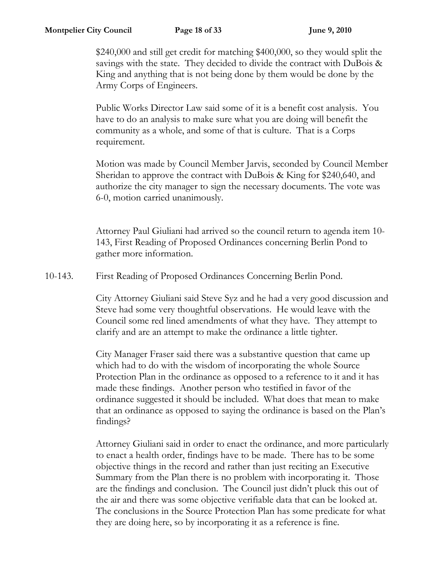\$240,000 and still get credit for matching \$400,000, so they would split the savings with the state. They decided to divide the contract with DuBois & King and anything that is not being done by them would be done by the Army Corps of Engineers.

Public Works Director Law said some of it is a benefit cost analysis. You have to do an analysis to make sure what you are doing will benefit the community as a whole, and some of that is culture. That is a Corps requirement.

Motion was made by Council Member Jarvis, seconded by Council Member Sheridan to approve the contract with DuBois & King for \$240,640, and authorize the city manager to sign the necessary documents. The vote was 6-0, motion carried unanimously.

Attorney Paul Giuliani had arrived so the council return to agenda item 10- 143, First Reading of Proposed Ordinances concerning Berlin Pond to gather more information.

10-143. First Reading of Proposed Ordinances Concerning Berlin Pond.

City Attorney Giuliani said Steve Syz and he had a very good discussion and Steve had some very thoughtful observations. He would leave with the Council some red lined amendments of what they have. They attempt to clarify and are an attempt to make the ordinance a little tighter.

City Manager Fraser said there was a substantive question that came up which had to do with the wisdom of incorporating the whole Source Protection Plan in the ordinance as opposed to a reference to it and it has made these findings. Another person who testified in favor of the ordinance suggested it should be included. What does that mean to make that an ordinance as opposed to saying the ordinance is based on the Plan's findings?

Attorney Giuliani said in order to enact the ordinance, and more particularly to enact a health order, findings have to be made. There has to be some objective things in the record and rather than just reciting an Executive Summary from the Plan there is no problem with incorporating it. Those are the findings and conclusion. The Council just didn't pluck this out of the air and there was some objective verifiable data that can be looked at. The conclusions in the Source Protection Plan has some predicate for what they are doing here, so by incorporating it as a reference is fine.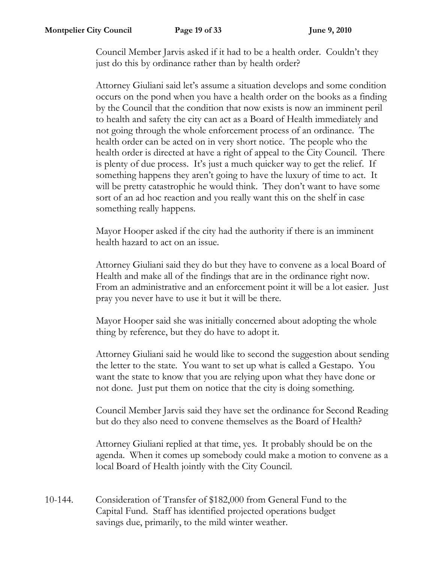Council Member Jarvis asked if it had to be a health order. Couldn't they just do this by ordinance rather than by health order?

Attorney Giuliani said let's assume a situation develops and some condition occurs on the pond when you have a health order on the books as a finding by the Council that the condition that now exists is now an imminent peril to health and safety the city can act as a Board of Health immediately and not going through the whole enforcement process of an ordinance. The health order can be acted on in very short notice. The people who the health order is directed at have a right of appeal to the City Council. There is plenty of due process. It's just a much quicker way to get the relief. If something happens they aren't going to have the luxury of time to act. It will be pretty catastrophic he would think. They don't want to have some sort of an ad hoc reaction and you really want this on the shelf in case something really happens.

Mayor Hooper asked if the city had the authority if there is an imminent health hazard to act on an issue.

Attorney Giuliani said they do but they have to convene as a local Board of Health and make all of the findings that are in the ordinance right now. From an administrative and an enforcement point it will be a lot easier. Just pray you never have to use it but it will be there.

Mayor Hooper said she was initially concerned about adopting the whole thing by reference, but they do have to adopt it.

Attorney Giuliani said he would like to second the suggestion about sending the letter to the state. You want to set up what is called a Gestapo. You want the state to know that you are relying upon what they have done or not done. Just put them on notice that the city is doing something.

Council Member Jarvis said they have set the ordinance for Second Reading but do they also need to convene themselves as the Board of Health?

Attorney Giuliani replied at that time, yes. It probably should be on the agenda. When it comes up somebody could make a motion to convene as a local Board of Health jointly with the City Council.

10-144. Consideration of Transfer of \$182,000 from General Fund to the Capital Fund. Staff has identified projected operations budget savings due, primarily, to the mild winter weather.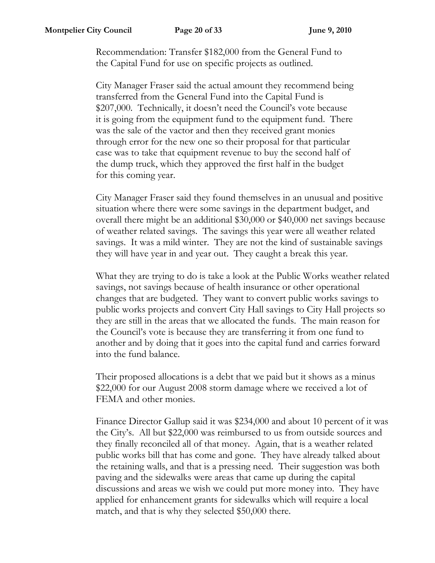Recommendation: Transfer \$182,000 from the General Fund to the Capital Fund for use on specific projects as outlined.

City Manager Fraser said the actual amount they recommend being transferred from the General Fund into the Capital Fund is \$207,000. Technically, it doesn't need the Council's vote because it is going from the equipment fund to the equipment fund. There was the sale of the vactor and then they received grant monies through error for the new one so their proposal for that particular case was to take that equipment revenue to buy the second half of the dump truck, which they approved the first half in the budget for this coming year.

City Manager Fraser said they found themselves in an unusual and positive situation where there were some savings in the department budget, and overall there might be an additional \$30,000 or \$40,000 net savings because of weather related savings. The savings this year were all weather related savings. It was a mild winter. They are not the kind of sustainable savings they will have year in and year out. They caught a break this year.

What they are trying to do is take a look at the Public Works weather related savings, not savings because of health insurance or other operational changes that are budgeted. They want to convert public works savings to public works projects and convert City Hall savings to City Hall projects so they are still in the areas that we allocated the funds. The main reason for the Council's vote is because they are transferring it from one fund to another and by doing that it goes into the capital fund and carries forward into the fund balance.

Their proposed allocations is a debt that we paid but it shows as a minus \$22,000 for our August 2008 storm damage where we received a lot of FEMA and other monies.

Finance Director Gallup said it was \$234,000 and about 10 percent of it was the City's. All but \$22,000 was reimbursed to us from outside sources and they finally reconciled all of that money. Again, that is a weather related public works bill that has come and gone. They have already talked about the retaining walls, and that is a pressing need. Their suggestion was both paving and the sidewalks were areas that came up during the capital discussions and areas we wish we could put more money into. They have applied for enhancement grants for sidewalks which will require a local match, and that is why they selected \$50,000 there.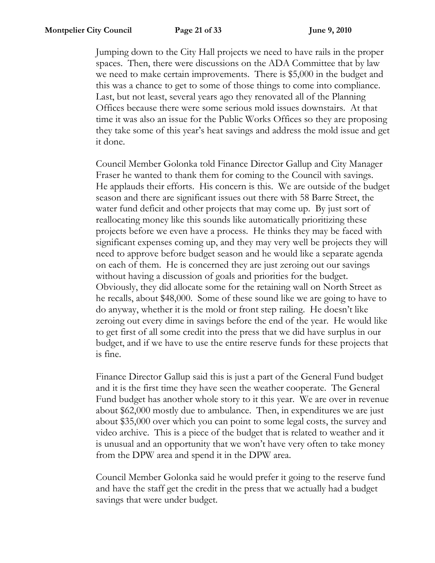Jumping down to the City Hall projects we need to have rails in the proper spaces. Then, there were discussions on the ADA Committee that by law we need to make certain improvements. There is \$5,000 in the budget and this was a chance to get to some of those things to come into compliance. Last, but not least, several years ago they renovated all of the Planning Offices because there were some serious mold issues downstairs. At that time it was also an issue for the Public Works Offices so they are proposing they take some of this year's heat savings and address the mold issue and get it done.

Council Member Golonka told Finance Director Gallup and City Manager Fraser he wanted to thank them for coming to the Council with savings. He applauds their efforts. His concern is this. We are outside of the budget season and there are significant issues out there with 58 Barre Street, the water fund deficit and other projects that may come up. By just sort of reallocating money like this sounds like automatically prioritizing these projects before we even have a process. He thinks they may be faced with significant expenses coming up, and they may very well be projects they will need to approve before budget season and he would like a separate agenda on each of them. He is concerned they are just zeroing out our savings without having a discussion of goals and priorities for the budget. Obviously, they did allocate some for the retaining wall on North Street as he recalls, about \$48,000. Some of these sound like we are going to have to do anyway, whether it is the mold or front step railing. He doesn't like zeroing out every dime in savings before the end of the year. He would like to get first of all some credit into the press that we did have surplus in our budget, and if we have to use the entire reserve funds for these projects that is fine.

Finance Director Gallup said this is just a part of the General Fund budget and it is the first time they have seen the weather cooperate. The General Fund budget has another whole story to it this year. We are over in revenue about \$62,000 mostly due to ambulance. Then, in expenditures we are just about \$35,000 over which you can point to some legal costs, the survey and video archive. This is a piece of the budget that is related to weather and it is unusual and an opportunity that we won't have very often to take money from the DPW area and spend it in the DPW area.

Council Member Golonka said he would prefer it going to the reserve fund and have the staff get the credit in the press that we actually had a budget savings that were under budget.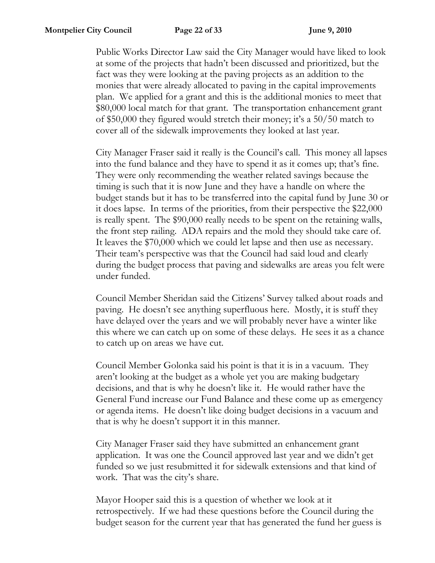Public Works Director Law said the City Manager would have liked to look at some of the projects that hadn't been discussed and prioritized, but the fact was they were looking at the paving projects as an addition to the monies that were already allocated to paving in the capital improvements plan. We applied for a grant and this is the additional monies to meet that \$80,000 local match for that grant. The transportation enhancement grant of \$50,000 they figured would stretch their money; it's a 50/50 match to cover all of the sidewalk improvements they looked at last year.

City Manager Fraser said it really is the Council's call. This money all lapses into the fund balance and they have to spend it as it comes up; that's fine. They were only recommending the weather related savings because the timing is such that it is now June and they have a handle on where the budget stands but it has to be transferred into the capital fund by June 30 or it does lapse. In terms of the priorities, from their perspective the \$22,000 is really spent. The \$90,000 really needs to be spent on the retaining walls, the front step railing. ADA repairs and the mold they should take care of. It leaves the \$70,000 which we could let lapse and then use as necessary. Their team's perspective was that the Council had said loud and clearly during the budget process that paving and sidewalks are areas you felt were under funded.

Council Member Sheridan said the Citizens' Survey talked about roads and paving. He doesn't see anything superfluous here. Mostly, it is stuff they have delayed over the years and we will probably never have a winter like this where we can catch up on some of these delays. He sees it as a chance to catch up on areas we have cut.

Council Member Golonka said his point is that it is in a vacuum. They aren't looking at the budget as a whole yet you are making budgetary decisions, and that is why he doesn't like it. He would rather have the General Fund increase our Fund Balance and these come up as emergency or agenda items. He doesn't like doing budget decisions in a vacuum and that is why he doesn't support it in this manner.

City Manager Fraser said they have submitted an enhancement grant application. It was one the Council approved last year and we didn't get funded so we just resubmitted it for sidewalk extensions and that kind of work. That was the city's share.

Mayor Hooper said this is a question of whether we look at it retrospectively. If we had these questions before the Council during the budget season for the current year that has generated the fund her guess is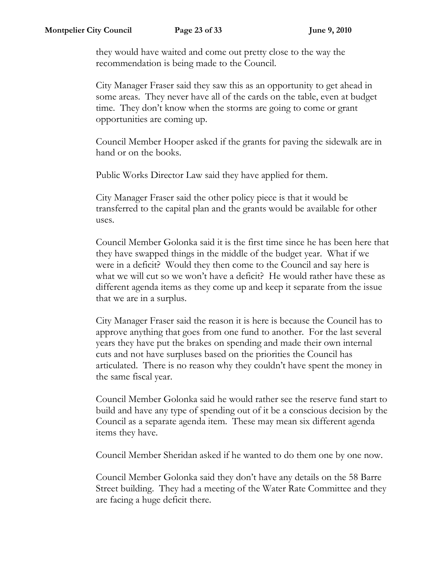they would have waited and come out pretty close to the way the recommendation is being made to the Council.

City Manager Fraser said they saw this as an opportunity to get ahead in some areas. They never have all of the cards on the table, even at budget time. They don't know when the storms are going to come or grant opportunities are coming up.

Council Member Hooper asked if the grants for paving the sidewalk are in hand or on the books.

Public Works Director Law said they have applied for them.

City Manager Fraser said the other policy piece is that it would be transferred to the capital plan and the grants would be available for other uses.

Council Member Golonka said it is the first time since he has been here that they have swapped things in the middle of the budget year. What if we were in a deficit? Would they then come to the Council and say here is what we will cut so we won't have a deficit? He would rather have these as different agenda items as they come up and keep it separate from the issue that we are in a surplus.

City Manager Fraser said the reason it is here is because the Council has to approve anything that goes from one fund to another. For the last several years they have put the brakes on spending and made their own internal cuts and not have surpluses based on the priorities the Council has articulated. There is no reason why they couldn't have spent the money in the same fiscal year.

Council Member Golonka said he would rather see the reserve fund start to build and have any type of spending out of it be a conscious decision by the Council as a separate agenda item. These may mean six different agenda items they have.

Council Member Sheridan asked if he wanted to do them one by one now.

Council Member Golonka said they don't have any details on the 58 Barre Street building. They had a meeting of the Water Rate Committee and they are facing a huge deficit there.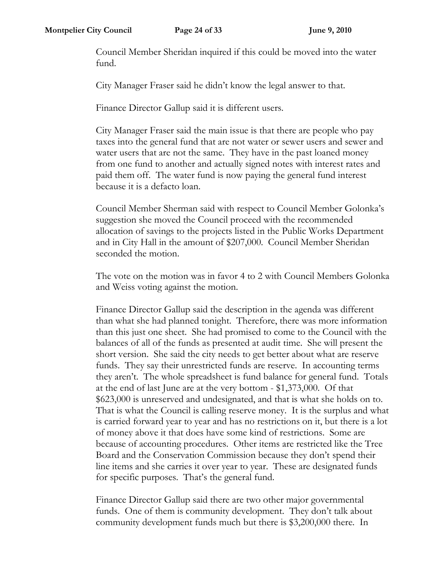Council Member Sheridan inquired if this could be moved into the water fund.

City Manager Fraser said he didn't know the legal answer to that.

Finance Director Gallup said it is different users.

City Manager Fraser said the main issue is that there are people who pay taxes into the general fund that are not water or sewer users and sewer and water users that are not the same. They have in the past loaned money from one fund to another and actually signed notes with interest rates and paid them off. The water fund is now paying the general fund interest because it is a defacto loan.

Council Member Sherman said with respect to Council Member Golonka's suggestion she moved the Council proceed with the recommended allocation of savings to the projects listed in the Public Works Department and in City Hall in the amount of \$207,000. Council Member Sheridan seconded the motion.

The vote on the motion was in favor 4 to 2 with Council Members Golonka and Weiss voting against the motion.

Finance Director Gallup said the description in the agenda was different than what she had planned tonight. Therefore, there was more information than this just one sheet. She had promised to come to the Council with the balances of all of the funds as presented at audit time. She will present the short version. She said the city needs to get better about what are reserve funds. They say their unrestricted funds are reserve. In accounting terms they aren't. The whole spreadsheet is fund balance for general fund. Totals at the end of last June are at the very bottom - \$1,373,000. Of that \$623,000 is unreserved and undesignated, and that is what she holds on to. That is what the Council is calling reserve money. It is the surplus and what is carried forward year to year and has no restrictions on it, but there is a lot of money above it that does have some kind of restrictions. Some are because of accounting procedures. Other items are restricted like the Tree Board and the Conservation Commission because they don't spend their line items and she carries it over year to year. These are designated funds for specific purposes. That's the general fund.

Finance Director Gallup said there are two other major governmental funds. One of them is community development. They don't talk about community development funds much but there is \$3,200,000 there. In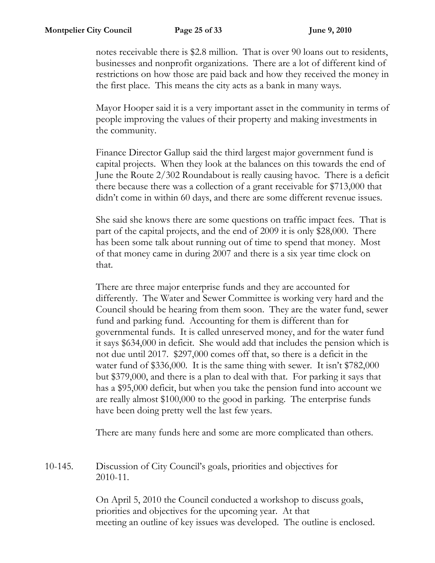notes receivable there is \$2.8 million. That is over 90 loans out to residents, businesses and nonprofit organizations. There are a lot of different kind of restrictions on how those are paid back and how they received the money in the first place. This means the city acts as a bank in many ways.

Mayor Hooper said it is a very important asset in the community in terms of people improving the values of their property and making investments in the community.

Finance Director Gallup said the third largest major government fund is capital projects. When they look at the balances on this towards the end of June the Route 2/302 Roundabout is really causing havoc. There is a deficit there because there was a collection of a grant receivable for \$713,000 that didn't come in within 60 days, and there are some different revenue issues.

She said she knows there are some questions on traffic impact fees. That is part of the capital projects, and the end of 2009 it is only \$28,000. There has been some talk about running out of time to spend that money. Most of that money came in during 2007 and there is a six year time clock on that.

There are three major enterprise funds and they are accounted for differently. The Water and Sewer Committee is working very hard and the Council should be hearing from them soon. They are the water fund, sewer fund and parking fund. Accounting for them is different than for governmental funds. It is called unreserved money, and for the water fund it says \$634,000 in deficit. She would add that includes the pension which is not due until 2017. \$297,000 comes off that, so there is a deficit in the water fund of \$336,000. It is the same thing with sewer. It isn't \$782,000 but \$379,000, and there is a plan to deal with that. For parking it says that has a \$95,000 deficit, but when you take the pension fund into account we are really almost \$100,000 to the good in parking. The enterprise funds have been doing pretty well the last few years.

There are many funds here and some are more complicated than others.

10-145. Discussion of City Council's goals, priorities and objectives for 2010-11.

> On April 5, 2010 the Council conducted a workshop to discuss goals, priorities and objectives for the upcoming year. At that meeting an outline of key issues was developed. The outline is enclosed.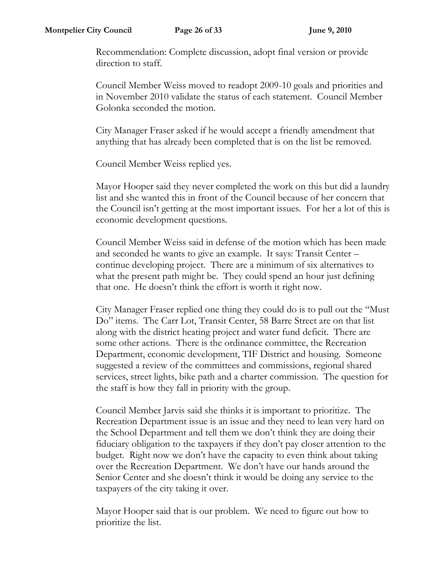Recommendation: Complete discussion, adopt final version or provide direction to staff.

Council Member Weiss moved to readopt 2009-10 goals and priorities and in November 2010 validate the status of each statement. Council Member Golonka seconded the motion.

City Manager Fraser asked if he would accept a friendly amendment that anything that has already been completed that is on the list be removed.

Council Member Weiss replied yes.

Mayor Hooper said they never completed the work on this but did a laundry list and she wanted this in front of the Council because of her concern that the Council isn't getting at the most important issues. For her a lot of this is economic development questions.

Council Member Weiss said in defense of the motion which has been made and seconded he wants to give an example. It says: Transit Center – continue developing project. There are a minimum of six alternatives to what the present path might be. They could spend an hour just defining that one. He doesn't think the effort is worth it right now.

City Manager Fraser replied one thing they could do is to pull out the "Must Do" items. The Carr Lot, Transit Center, 58 Barre Street are on that list along with the district heating project and water fund deficit. There are some other actions. There is the ordinance committee, the Recreation Department, economic development, TIF District and housing. Someone suggested a review of the committees and commissions, regional shared services, street lights, bike path and a charter commission. The question for the staff is how they fall in priority with the group.

Council Member Jarvis said she thinks it is important to prioritize. The Recreation Department issue is an issue and they need to lean very hard on the School Department and tell them we don't think they are doing their fiduciary obligation to the taxpayers if they don't pay closer attention to the budget. Right now we don't have the capacity to even think about taking over the Recreation Department. We don't have our hands around the Senior Center and she doesn't think it would be doing any service to the taxpayers of the city taking it over.

Mayor Hooper said that is our problem. We need to figure out how to prioritize the list.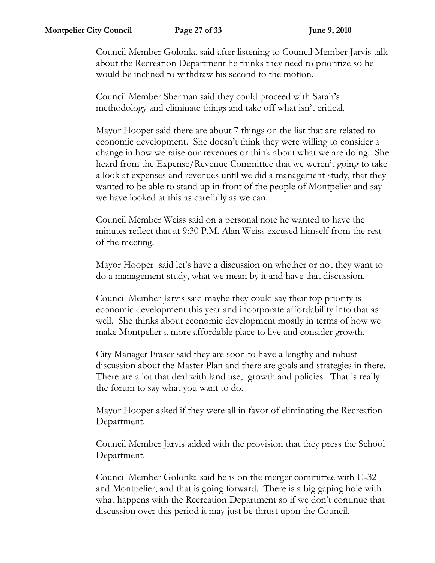Council Member Golonka said after listening to Council Member Jarvis talk about the Recreation Department he thinks they need to prioritize so he would be inclined to withdraw his second to the motion.

Council Member Sherman said they could proceed with Sarah's methodology and eliminate things and take off what isn't critical.

Mayor Hooper said there are about 7 things on the list that are related to economic development. She doesn't think they were willing to consider a change in how we raise our revenues or think about what we are doing. She heard from the Expense/Revenue Committee that we weren't going to take a look at expenses and revenues until we did a management study, that they wanted to be able to stand up in front of the people of Montpelier and say we have looked at this as carefully as we can.

Council Member Weiss said on a personal note he wanted to have the minutes reflect that at 9:30 P.M. Alan Weiss excused himself from the rest of the meeting.

Mayor Hooper said let's have a discussion on whether or not they want to do a management study, what we mean by it and have that discussion.

Council Member Jarvis said maybe they could say their top priority is economic development this year and incorporate affordability into that as well. She thinks about economic development mostly in terms of how we make Montpelier a more affordable place to live and consider growth.

City Manager Fraser said they are soon to have a lengthy and robust discussion about the Master Plan and there are goals and strategies in there. There are a lot that deal with land use, growth and policies. That is really the forum to say what you want to do.

Mayor Hooper asked if they were all in favor of eliminating the Recreation Department.

Council Member Jarvis added with the provision that they press the School Department.

Council Member Golonka said he is on the merger committee with U-32 and Montpelier, and that is going forward. There is a big gaping hole with what happens with the Recreation Department so if we don't continue that discussion over this period it may just be thrust upon the Council.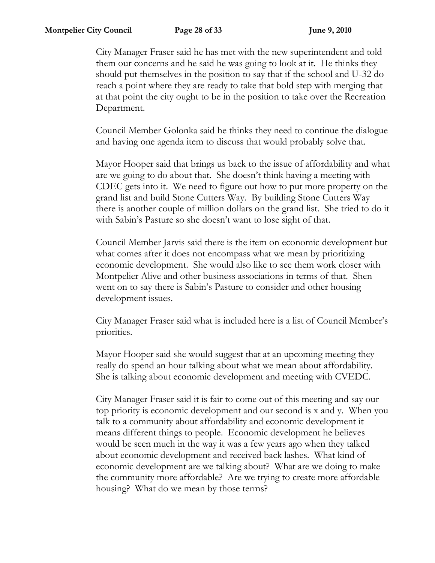City Manager Fraser said he has met with the new superintendent and told them our concerns and he said he was going to look at it. He thinks they should put themselves in the position to say that if the school and U-32 do reach a point where they are ready to take that bold step with merging that at that point the city ought to be in the position to take over the Recreation Department.

Council Member Golonka said he thinks they need to continue the dialogue and having one agenda item to discuss that would probably solve that.

Mayor Hooper said that brings us back to the issue of affordability and what are we going to do about that. She doesn't think having a meeting with CDEC gets into it. We need to figure out how to put more property on the grand list and build Stone Cutters Way. By building Stone Cutters Way there is another couple of million dollars on the grand list. She tried to do it with Sabin's Pasture so she doesn't want to lose sight of that.

Council Member Jarvis said there is the item on economic development but what comes after it does not encompass what we mean by prioritizing economic development. She would also like to see them work closer with Montpelier Alive and other business associations in terms of that. Shen went on to say there is Sabin's Pasture to consider and other housing development issues.

City Manager Fraser said what is included here is a list of Council Member's priorities.

Mayor Hooper said she would suggest that at an upcoming meeting they really do spend an hour talking about what we mean about affordability. She is talking about economic development and meeting with CVEDC.

City Manager Fraser said it is fair to come out of this meeting and say our top priority is economic development and our second is x and y. When you talk to a community about affordability and economic development it means different things to people. Economic development he believes would be seen much in the way it was a few years ago when they talked about economic development and received back lashes. What kind of economic development are we talking about? What are we doing to make the community more affordable? Are we trying to create more affordable housing? What do we mean by those terms?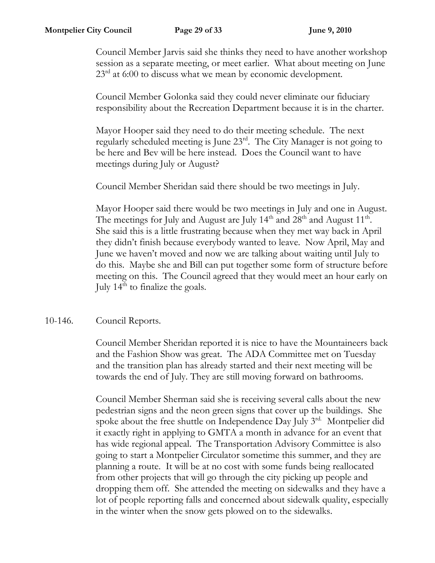Council Member Jarvis said she thinks they need to have another workshop session as a separate meeting, or meet earlier. What about meeting on June  $23<sup>rd</sup>$  at 6:00 to discuss what we mean by economic development.

Council Member Golonka said they could never eliminate our fiduciary responsibility about the Recreation Department because it is in the charter.

Mayor Hooper said they need to do their meeting schedule. The next regularly scheduled meeting is June 23rd. The City Manager is not going to be here and Bev will be here instead. Does the Council want to have meetings during July or August?

Council Member Sheridan said there should be two meetings in July.

Mayor Hooper said there would be two meetings in July and one in August. The meetings for July and August are July  $14<sup>th</sup>$  and  $28<sup>th</sup>$  and August  $11<sup>th</sup>$ . She said this is a little frustrating because when they met way back in April they didn't finish because everybody wanted to leave. Now April, May and June we haven't moved and now we are talking about waiting until July to do this. Maybe she and Bill can put together some form of structure before meeting on this. The Council agreed that they would meet an hour early on July  $14<sup>th</sup>$  to finalize the goals.

## 10-146. Council Reports.

Council Member Sheridan reported it is nice to have the Mountaineers back and the Fashion Show was great. The ADA Committee met on Tuesday and the transition plan has already started and their next meeting will be towards the end of July. They are still moving forward on bathrooms.

Council Member Sherman said she is receiving several calls about the new pedestrian signs and the neon green signs that cover up the buildings. She spoke about the free shuttle on Independence Day July 3rd. Montpelier did it exactly right in applying to GMTA a month in advance for an event that has wide regional appeal. The Transportation Advisory Committee is also going to start a Montpelier Circulator sometime this summer, and they are planning a route. It will be at no cost with some funds being reallocated from other projects that will go through the city picking up people and dropping them off. She attended the meeting on sidewalks and they have a lot of people reporting falls and concerned about sidewalk quality, especially in the winter when the snow gets plowed on to the sidewalks.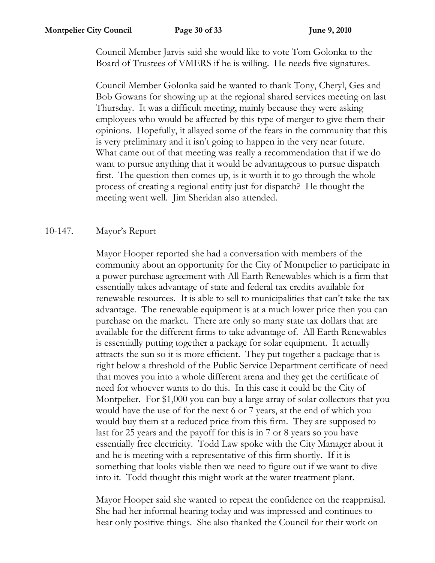Council Member Jarvis said she would like to vote Tom Golonka to the Board of Trustees of VMERS if he is willing. He needs five signatures.

Council Member Golonka said he wanted to thank Tony, Cheryl, Ges and Bob Gowans for showing up at the regional shared services meeting on last Thursday. It was a difficult meeting, mainly because they were asking employees who would be affected by this type of merger to give them their opinions. Hopefully, it allayed some of the fears in the community that this is very preliminary and it isn't going to happen in the very near future. What came out of that meeting was really a recommendation that if we do want to pursue anything that it would be advantageous to pursue dispatch first. The question then comes up, is it worth it to go through the whole process of creating a regional entity just for dispatch? He thought the meeting went well. Jim Sheridan also attended.

## 10-147. Mayor's Report

Mayor Hooper reported she had a conversation with members of the community about an opportunity for the City of Montpelier to participate in a power purchase agreement with All Earth Renewables which is a firm that essentially takes advantage of state and federal tax credits available for renewable resources. It is able to sell to municipalities that can't take the tax advantage. The renewable equipment is at a much lower price then you can purchase on the market. There are only so many state tax dollars that are available for the different firms to take advantage of. All Earth Renewables is essentially putting together a package for solar equipment. It actually attracts the sun so it is more efficient. They put together a package that is right below a threshold of the Public Service Department certificate of need that moves you into a whole different arena and they get the certificate of need for whoever wants to do this. In this case it could be the City of Montpelier. For \$1,000 you can buy a large array of solar collectors that you would have the use of for the next 6 or 7 years, at the end of which you would buy them at a reduced price from this firm. They are supposed to last for 25 years and the payoff for this is in 7 or 8 years so you have essentially free electricity. Todd Law spoke with the City Manager about it and he is meeting with a representative of this firm shortly. If it is something that looks viable then we need to figure out if we want to dive into it. Todd thought this might work at the water treatment plant.

Mayor Hooper said she wanted to repeat the confidence on the reappraisal. She had her informal hearing today and was impressed and continues to hear only positive things. She also thanked the Council for their work on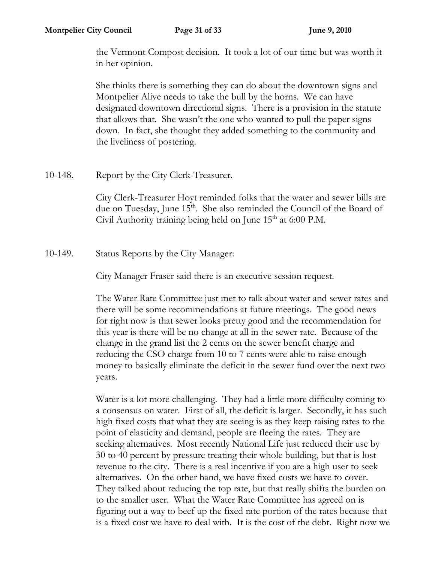the Vermont Compost decision. It took a lot of our time but was worth it in her opinion.

She thinks there is something they can do about the downtown signs and Montpelier Alive needs to take the bull by the horns. We can have designated downtown directional signs. There is a provision in the statute that allows that. She wasn't the one who wanted to pull the paper signs down. In fact, she thought they added something to the community and the liveliness of postering.

10-148. Report by the City Clerk-Treasurer.

City Clerk-Treasurer Hoyt reminded folks that the water and sewer bills are due on Tuesday, June 15<sup>th</sup>. She also reminded the Council of the Board of Civil Authority training being held on June  $15<sup>th</sup>$  at 6:00 P.M.

10-149. Status Reports by the City Manager:

City Manager Fraser said there is an executive session request.

The Water Rate Committee just met to talk about water and sewer rates and there will be some recommendations at future meetings. The good news for right now is that sewer looks pretty good and the recommendation for this year is there will be no change at all in the sewer rate. Because of the change in the grand list the 2 cents on the sewer benefit charge and reducing the CSO charge from 10 to 7 cents were able to raise enough money to basically eliminate the deficit in the sewer fund over the next two years.

Water is a lot more challenging. They had a little more difficulty coming to a consensus on water. First of all, the deficit is larger. Secondly, it has such high fixed costs that what they are seeing is as they keep raising rates to the point of elasticity and demand, people are fleeing the rates. They are seeking alternatives. Most recently National Life just reduced their use by 30 to 40 percent by pressure treating their whole building, but that is lost revenue to the city. There is a real incentive if you are a high user to seek alternatives. On the other hand, we have fixed costs we have to cover. They talked about reducing the top rate, but that really shifts the burden on to the smaller user. What the Water Rate Committee has agreed on is figuring out a way to beef up the fixed rate portion of the rates because that is a fixed cost we have to deal with. It is the cost of the debt. Right now we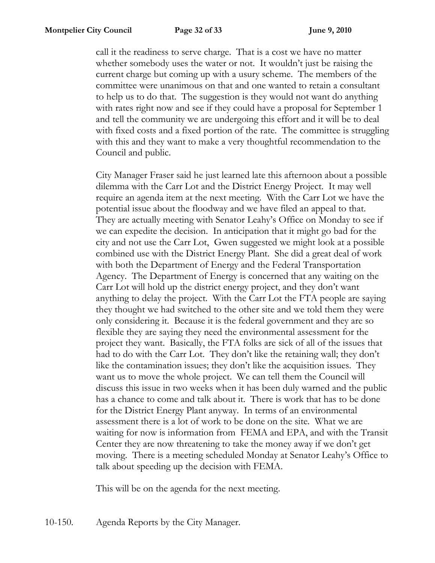call it the readiness to serve charge. That is a cost we have no matter whether somebody uses the water or not. It wouldn't just be raising the current charge but coming up with a usury scheme. The members of the committee were unanimous on that and one wanted to retain a consultant to help us to do that. The suggestion is they would not want do anything with rates right now and see if they could have a proposal for September 1 and tell the community we are undergoing this effort and it will be to deal with fixed costs and a fixed portion of the rate. The committee is struggling with this and they want to make a very thoughtful recommendation to the Council and public.

City Manager Fraser said he just learned late this afternoon about a possible dilemma with the Carr Lot and the District Energy Project. It may well require an agenda item at the next meeting. With the Carr Lot we have the potential issue about the floodway and we have filed an appeal to that. They are actually meeting with Senator Leahy's Office on Monday to see if we can expedite the decision. In anticipation that it might go bad for the city and not use the Carr Lot, Gwen suggested we might look at a possible combined use with the District Energy Plant. She did a great deal of work with both the Department of Energy and the Federal Transportation Agency. The Department of Energy is concerned that any waiting on the Carr Lot will hold up the district energy project, and they don't want anything to delay the project. With the Carr Lot the FTA people are saying they thought we had switched to the other site and we told them they were only considering it. Because it is the federal government and they are so flexible they are saying they need the environmental assessment for the project they want. Basically, the FTA folks are sick of all of the issues that had to do with the Carr Lot. They don't like the retaining wall; they don't like the contamination issues; they don't like the acquisition issues. They want us to move the whole project. We can tell them the Council will discuss this issue in two weeks when it has been duly warned and the public has a chance to come and talk about it. There is work that has to be done for the District Energy Plant anyway. In terms of an environmental assessment there is a lot of work to be done on the site. What we are waiting for now is information from FEMA and EPA, and with the Transit Center they are now threatening to take the money away if we don't get moving. There is a meeting scheduled Monday at Senator Leahy's Office to talk about speeding up the decision with FEMA.

This will be on the agenda for the next meeting.

10-150. Agenda Reports by the City Manager.